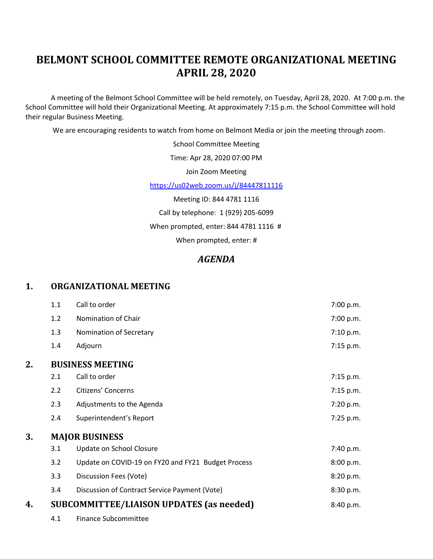# **BELMONT SCHOOL COMMITTEE REMOTE ORGANIZATIONAL MEETING APRIL 28, 2020**

A meeting of the Belmont School Committee will be held remotely, on Tuesday, April 28, 2020. At 7:00 p.m. the School Committee will hold their Organizational Meeting. At approximately 7:15 p.m. the School Committee will hold their regular Business Meeting.

We are encouraging residents to watch from home on Belmont Media or join the meeting through zoom.

School Committee Meeting

Time: Apr 28, 2020 07:00 PM

Join Zoom Meeting

<https://us02web.zoom.us/j/84447811116>

Meeting ID: 844 4781 1116 Call by telephone: 1 (929) 205-6099 When prompted, enter: 844 4781 1116 # When prompted, enter: #

## *AGENDA*

#### **1. ORGANIZATIONAL MEETING**

|    | 1.1                     | Call to order                                      | 7:00 p.m.   |
|----|-------------------------|----------------------------------------------------|-------------|
|    | 1.2                     | Nomination of Chair                                | 7:00 p.m.   |
|    | 1.3                     | Nomination of Secretary                            | 7:10 p.m.   |
|    | 1.4                     | Adjourn                                            | $7:15$ p.m. |
| 2. | <b>BUSINESS MEETING</b> |                                                    |             |
|    | 2.1                     | Call to order                                      | $7:15$ p.m. |
|    | 2.2                     | Citizens' Concerns                                 | 7:15 p.m.   |
|    | 2.3                     | Adjustments to the Agenda                          | 7:20 p.m.   |
|    | 2.4                     | Superintendent's Report                            | 7:25 p.m.   |
| 3. | <b>MAJOR BUSINESS</b>   |                                                    |             |
|    | 3.1                     | Update on School Closure                           | 7:40 p.m.   |
|    | 3.2                     | Update on COVID-19 on FY20 and FY21 Budget Process | 8:00 p.m.   |
|    | 3.3                     | Discussion Fees (Vote)                             | 8:20 p.m.   |
|    | 3.4                     | Discussion of Contract Service Payment (Vote)      | 8:30 p.m.   |
| 4. |                         | <b>SUBCOMMITTEE/LIAISON UPDATES (as needed)</b>    | 8:40 p.m.   |
|    | 4.1                     | <b>Finance Subcommittee</b>                        |             |